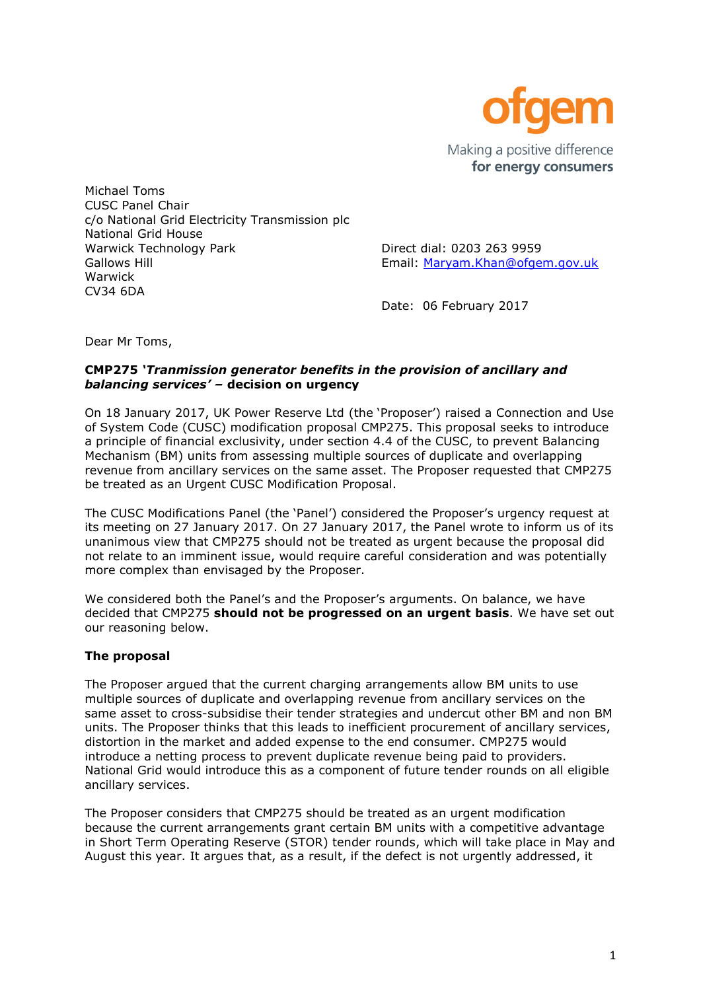

Michael Toms CUSC Panel Chair c/o National Grid Electricity Transmission plc National Grid House Warwick Technology Park Direct dial: 0203 263 9959 Gallows Hill **Gallows Hill** Email: [Maryam.Khan@ofgem.gov.uk](mailto:Maryam.Khan@ofgem.gov.uk) Warwick CV34 6DA

Date: 06 February 2017

Dear Mr Toms,

#### **CMP275** *'Tranmission generator benefits in the provision of ancillary and balancing services' –* **decision on urgency**

On 18 January 2017, UK Power Reserve Ltd (the 'Proposer') raised a Connection and Use of System Code (CUSC) modification proposal CMP275. This proposal seeks to introduce a principle of financial exclusivity, under section 4.4 of the CUSC, to prevent Balancing Mechanism (BM) units from assessing multiple sources of duplicate and overlapping revenue from ancillary services on the same asset. The Proposer requested that CMP275 be treated as an Urgent CUSC Modification Proposal.

The CUSC Modifications Panel (the 'Panel') considered the Proposer's urgency request at its meeting on 27 January 2017. On 27 January 2017, the Panel wrote to inform us of its unanimous view that CMP275 should not be treated as urgent because the proposal did not relate to an imminent issue, would require careful consideration and was potentially more complex than envisaged by the Proposer.

We considered both the Panel's and the Proposer's arguments. On balance, we have decided that CMP275 **should not be progressed on an urgent basis**. We have set out our reasoning below.

# **The proposal**

The Proposer argued that the current charging arrangements allow BM units to use multiple sources of duplicate and overlapping revenue from ancillary services on the same asset to cross-subsidise their tender strategies and undercut other BM and non BM units. The Proposer thinks that this leads to inefficient procurement of ancillary services, distortion in the market and added expense to the end consumer. CMP275 would introduce a netting process to prevent duplicate revenue being paid to providers. National Grid would introduce this as a component of future tender rounds on all eligible ancillary services.

The Proposer considers that CMP275 should be treated as an urgent modification because the current arrangements grant certain BM units with a competitive advantage in Short Term Operating Reserve (STOR) tender rounds, which will take place in May and August this year. It argues that, as a result, if the defect is not urgently addressed, it